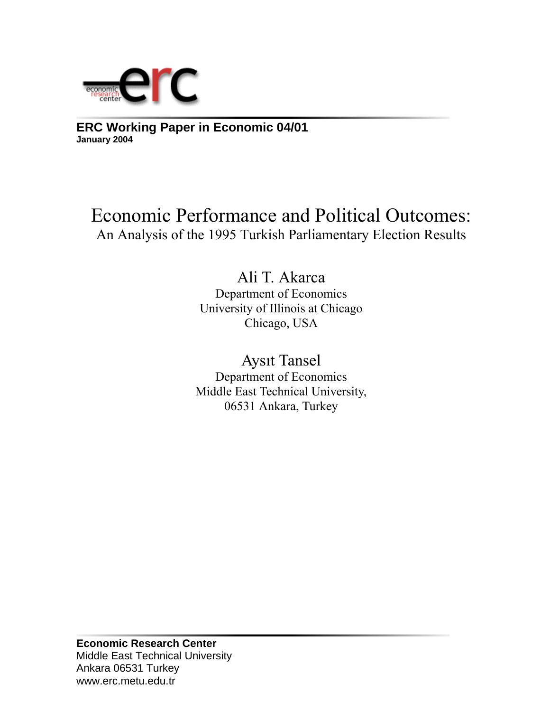

**ERC Working Paper in Economic 04/01 January 2004**

# Economic Performance and Political Outcomes: An Analysis of the 1995 Turkish Parliamentary Election Results

Ali T. Akarca Department of Economics University of Illinois at Chicago Chicago, USA

Aysıt Tansel Department of Economics Middle East Technical University, 06531 Ankara, Turkey

**Economic Research Center**  Middle East Technical University Ankara 06531 Turkey www.erc.metu.edu.tr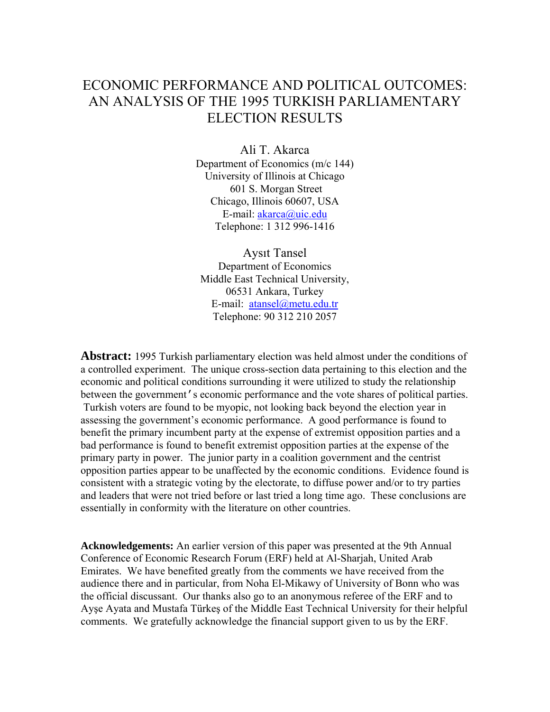# ECONOMIC PERFORMANCE AND POLITICAL OUTCOMES: AN ANALYSIS OF THE 1995 TURKISH PARLIAMENTARY ELECTION RESULTS

Ali T. Akarca Department of Economics (m/c 144) University of Illinois at Chicago 601 S. Morgan Street Chicago, Illinois 60607, USA E-mail: akarca@uic.edu Telephone: 1 312 996-1416

Aysıt Tansel Department of Economics Middle East Technical University, 06531 Ankara, Turkey E-mail: atansel@metu.edu.tr Telephone: 90 312 210 2057

**Abstract:** 1995 Turkish parliamentary election was held almost under the conditions of a controlled experiment. The unique cross-section data pertaining to this election and the economic and political conditions surrounding it were utilized to study the relationship between the government's economic performance and the vote shares of political parties. Turkish voters are found to be myopic, not looking back beyond the election year in assessing the government's economic performance. A good performance is found to benefit the primary incumbent party at the expense of extremist opposition parties and a bad performance is found to benefit extremist opposition parties at the expense of the primary party in power. The junior party in a coalition government and the centrist opposition parties appear to be unaffected by the economic conditions. Evidence found is consistent with a strategic voting by the electorate, to diffuse power and/or to try parties and leaders that were not tried before or last tried a long time ago. These conclusions are essentially in conformity with the literature on other countries.

**Acknowledgements:** An earlier version of this paper was presented at the 9th Annual Conference of Economic Research Forum (ERF) held at Al-Sharjah, United Arab Emirates. We have benefited greatly from the comments we have received from the audience there and in particular, from Noha El-Mikawy of University of Bonn who was the official discussant. Our thanks also go to an anonymous referee of the ERF and to Ayşe Ayata and Mustafa Türkeş of the Middle East Technical University for their helpful comments. We gratefully acknowledge the financial support given to us by the ERF.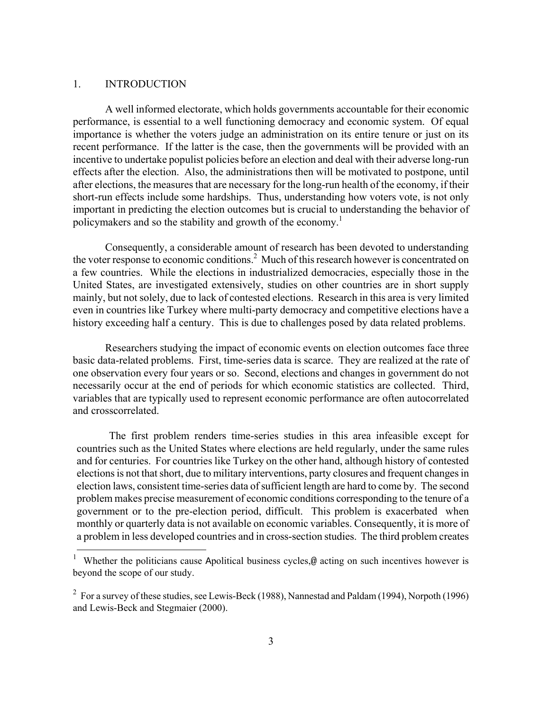#### 1. INTRODUCTION

 $\overline{a}$ 

A well informed electorate, which holds governments accountable for their economic performance, is essential to a well functioning democracy and economic system. Of equal importance is whether the voters judge an administration on its entire tenure or just on its recent performance. If the latter is the case, then the governments will be provided with an incentive to undertake populist policies before an election and deal with their adverse long-run effects after the election. Also, the administrations then will be motivated to postpone, until after elections, the measures that are necessary for the long-run health of the economy, if their short-run effects include some hardships. Thus, understanding how voters vote, is not only important in predicting the election outcomes but is crucial to understanding the behavior of policymakers and so the stability and growth of the economy.<sup>1</sup>

Consequently, a considerable amount of research has been devoted to understanding the voter response to economic conditions.<sup>2</sup> Much of this research however is concentrated on a few countries. While the elections in industrialized democracies, especially those in the United States, are investigated extensively, studies on other countries are in short supply mainly, but not solely, due to lack of contested elections. Research in this area is very limited even in countries like Turkey where multi-party democracy and competitive elections have a history exceeding half a century. This is due to challenges posed by data related problems.

Researchers studying the impact of economic events on election outcomes face three basic data-related problems. First, time-series data is scarce. They are realized at the rate of one observation every four years or so. Second, elections and changes in government do not necessarily occur at the end of periods for which economic statistics are collected. Third, variables that are typically used to represent economic performance are often autocorrelated and crosscorrelated.

The first problem renders time-series studies in this area infeasible except for countries such as the United States where elections are held regularly, under the same rules and for centuries. For countries like Turkey on the other hand, although history of contested elections is not that short, due to military interventions, party closures and frequent changes in election laws, consistent time-series data of sufficient length are hard to come by. The second problem makes precise measurement of economic conditions corresponding to the tenure of a government or to the pre-election period, difficult. This problem is exacerbated when monthly or quarterly data is not available on economic variables. Consequently, it is more of a problem in less developed countries and in cross-section studies. The third problem creates

<sup>1</sup> Whether the politicians cause Apolitical business cycles,<sup>@</sup> acting on such incentives however is beyond the scope of our study.

<sup>&</sup>lt;sup>2</sup> For a survey of these studies, see Lewis-Beck (1988), Nannestad and Paldam (1994), Norpoth (1996) and Lewis-Beck and Stegmaier (2000).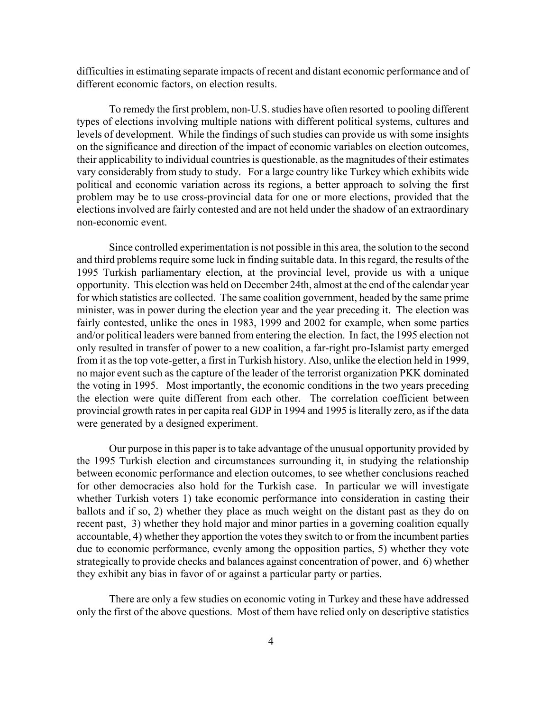difficulties in estimating separate impacts of recent and distant economic performance and of different economic factors, on election results.

To remedy the first problem, non-U.S. studies have often resorted to pooling different types of elections involving multiple nations with different political systems, cultures and levels of development. While the findings of such studies can provide us with some insights on the significance and direction of the impact of economic variables on election outcomes, their applicability to individual countries is questionable, as the magnitudes of their estimates vary considerably from study to study. For a large country like Turkey which exhibits wide political and economic variation across its regions, a better approach to solving the first problem may be to use cross-provincial data for one or more elections, provided that the elections involved are fairly contested and are not held under the shadow of an extraordinary non-economic event.

Since controlled experimentation is not possible in this area, the solution to the second and third problems require some luck in finding suitable data. In this regard, the results of the 1995 Turkish parliamentary election, at the provincial level, provide us with a unique opportunity. This election was held on December 24th, almost at the end of the calendar year for which statistics are collected. The same coalition government, headed by the same prime minister, was in power during the election year and the year preceding it. The election was fairly contested, unlike the ones in 1983, 1999 and 2002 for example, when some parties and/or political leaders were banned from entering the election. In fact, the 1995 election not only resulted in transfer of power to a new coalition, a far-right pro-Islamist party emerged from it as the top vote-getter, a first in Turkish history. Also, unlike the election held in 1999, no major event such as the capture of the leader of the terrorist organization PKK dominated the voting in 1995. Most importantly, the economic conditions in the two years preceding the election were quite different from each other. The correlation coefficient between provincial growth rates in per capita real GDP in 1994 and 1995 is literally zero, as if the data were generated by a designed experiment.

Our purpose in this paper is to take advantage of the unusual opportunity provided by the 1995 Turkish election and circumstances surrounding it, in studying the relationship between economic performance and election outcomes, to see whether conclusions reached for other democracies also hold for the Turkish case. In particular we will investigate whether Turkish voters 1) take economic performance into consideration in casting their ballots and if so, 2) whether they place as much weight on the distant past as they do on recent past, 3) whether they hold major and minor parties in a governing coalition equally accountable, 4) whether they apportion the votes they switch to or from the incumbent parties due to economic performance, evenly among the opposition parties, 5) whether they vote strategically to provide checks and balances against concentration of power, and 6) whether they exhibit any bias in favor of or against a particular party or parties.

There are only a few studies on economic voting in Turkey and these have addressed only the first of the above questions. Most of them have relied only on descriptive statistics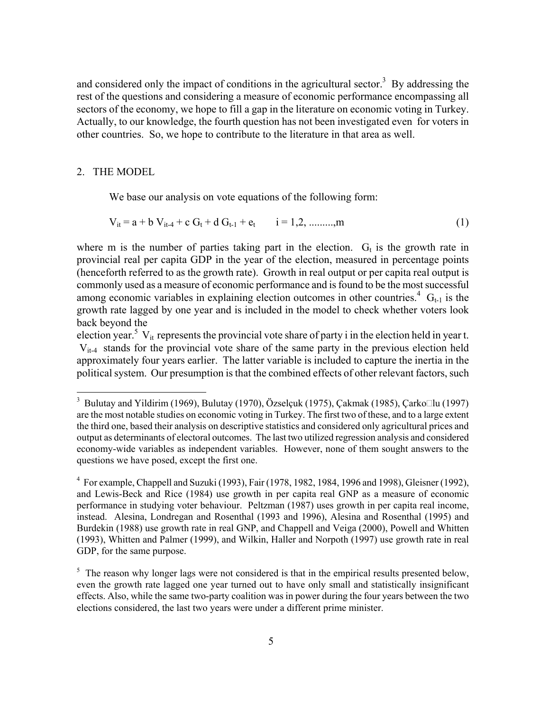and considered only the impact of conditions in the agricultural sector.<sup>3</sup> By addressing the rest of the questions and considering a measure of economic performance encompassing all sectors of the economy, we hope to fill a gap in the literature on economic voting in Turkey. Actually, to our knowledge, the fourth question has not been investigated even for voters in other countries. So, we hope to contribute to the literature in that area as well.

#### 2. THE MODEL

 $\overline{\phantom{a}}$ 

We base our analysis on vote equations of the following form:

$$
V_{it} = a + b V_{it-4} + c G_t + d G_{t-1} + e_t \t i = 1, 2, \dots, m
$$
\n(1)

where m is the number of parties taking part in the election.  $G_t$  is the growth rate in provincial real per capita GDP in the year of the election, measured in percentage points (henceforth referred to as the growth rate). Growth in real output or per capita real output is commonly used as a measure of economic performance and is found to be the most successful among economic variables in explaining election outcomes in other countries.<sup>4</sup>  $G_{t-1}$  is the growth rate lagged by one year and is included in the model to check whether voters look back beyond the

election year.<sup>5</sup> V<sub>it</sub> represents the provincial vote share of party i in the election held in year t. Vit-4 stands for the provincial vote share of the same party in the previous election held approximately four years earlier. The latter variable is included to capture the inertia in the political system. Our presumption is that the combined effects of other relevant factors, such

<sup>&</sup>lt;sup>3</sup> Bulutay and Yildirim (1969), Bulutay (1970), Özselçuk (1975), Çakmak (1985), Çarko $\Box$ lu (1997) are the most notable studies on economic voting in Turkey. The first two of these, and to a large extent the third one, based their analysis on descriptive statistics and considered only agricultural prices and output as determinants of electoral outcomes. The last two utilized regression analysis and considered economy-wide variables as independent variables. However, none of them sought answers to the questions we have posed, except the first one.

 $4$  For example, Chappell and Suzuki (1993), Fair (1978, 1982, 1984, 1996 and 1998), Gleisner (1992), and Lewis-Beck and Rice (1984) use growth in per capita real GNP as a measure of economic performance in studying voter behaviour. Peltzman (1987) uses growth in per capita real income, instead. Alesina, Londregan and Rosenthal (1993 and 1996), Alesina and Rosenthal (1995) and Burdekin (1988) use growth rate in real GNP, and Chappell and Veiga (2000), Powell and Whitten (1993), Whitten and Palmer (1999), and Wilkin, Haller and Norpoth (1997) use growth rate in real GDP, for the same purpose.

 $5$  The reason why longer lags were not considered is that in the empirical results presented below, even the growth rate lagged one year turned out to have only small and statistically insignificant effects. Also, while the same two-party coalition was in power during the four years between the two elections considered, the last two years were under a different prime minister.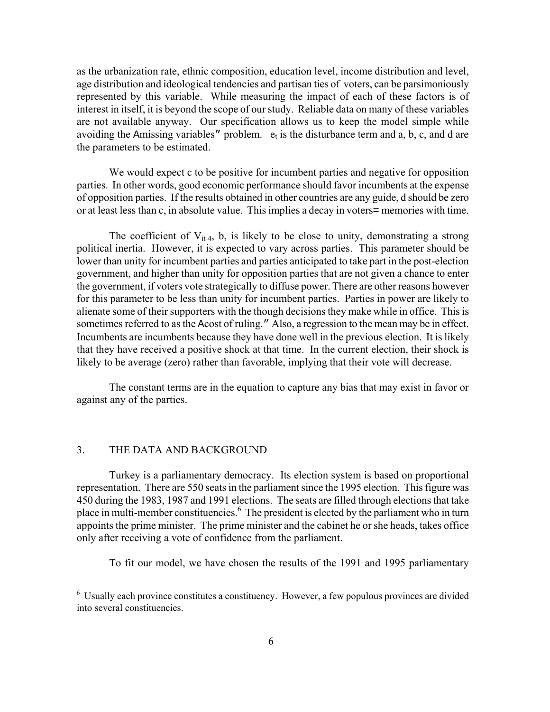as the urbanization rate, ethnic composition, education level, income distribution and level, age distribution and ideological tendencies and partisan ties of voters, can be parsimoniously represented by this variable. While measuring the impact of each of these factors is of interest in itself, it is beyond the scope of our study. Reliable data on many of these variables are not available anyway. Our specification allows us to keep the model simple while avoiding the Amissing variables" problem.  $e_t$  is the disturbance term and a, b, c, and d are the parameters to be estimated.

We would expect c to be positive for incumbent parties and negative for opposition parties. In other words, good economic performance should favor incumbents at the expense of opposition parties. If the results obtained in other countries are any guide, d should be zero or at least less than c, in absolute value. This implies a decay in voters= memories with time.

The coefficient of  $V_{it-4}$ , b, is likely to be close to unity, demonstrating a strong political inertia. However, it is expected to vary across parties. This parameter should be lower than unity for incumbent parties and parties anticipated to take part in the post-election government, and higher than unity for opposition parties that are not given a chance to enter the government, if voters vote strategically to diffuse power. There are other reasons however for this parameter to be less than unity for incumbent parties. Parties in power are likely to alienate some of their supporters with the though decisions they make while in office. This is sometimes referred to as the Acost of ruling." Also, a regression to the mean may be in effect. Incumbents are incumbents because they have done well in the previous election. It is likely that they have received a positive shock at that time. In the current election, their shock is likely to be average (zero) rather than favorable, implying that their vote will decrease.

The constant terms are in the equation to capture any bias that may exist in favor or against any of the parties.

#### 3. THE DATA AND BACKGROUND

l

 Turkey is a parliamentary democracy. Its election system is based on proportional representation. There are 550 seats in the parliament since the 1995 election. This figure was 450 during the 1983, 1987 and 1991 elections. The seats are filled through elections that take place in multi-member constituencies.<sup>6</sup> The president is elected by the parliament who in turn appoints the prime minister. The prime minister and the cabinet he or she heads, takes office only after receiving a vote of confidence from the parliament.

To fit our model, we have chosen the results of the 1991 and 1995 parliamentary

<sup>&</sup>lt;sup>6</sup> Usually each province constitutes a constituency. However, a few populous provinces are divided into several constituencies.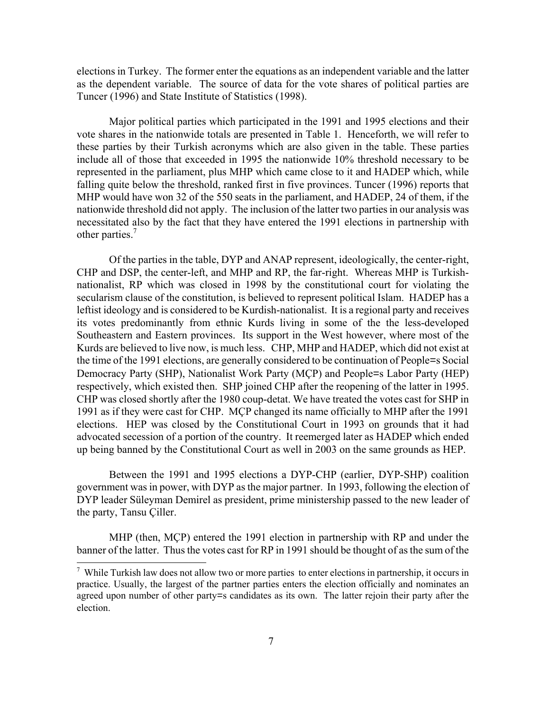elections in Turkey. The former enter the equations as an independent variable and the latter as the dependent variable. The source of data for the vote shares of political parties are Tuncer (1996) and State Institute of Statistics (1998).

Major political parties which participated in the 1991 and 1995 elections and their vote shares in the nationwide totals are presented in Table 1. Henceforth, we will refer to these parties by their Turkish acronyms which are also given in the table. These parties include all of those that exceeded in 1995 the nationwide 10% threshold necessary to be represented in the parliament, plus MHP which came close to it and HADEP which, while falling quite below the threshold, ranked first in five provinces. Tuncer (1996) reports that MHP would have won 32 of the 550 seats in the parliament, and HADEP, 24 of them, if the nationwide threshold did not apply. The inclusion of the latter two parties in our analysis was necessitated also by the fact that they have entered the 1991 elections in partnership with other parties.<sup>7</sup>

 Of the parties in the table, DYP and ANAP represent, ideologically, the center-right, CHP and DSP, the center-left, and MHP and RP, the far-right. Whereas MHP is Turkishnationalist, RP which was closed in 1998 by the constitutional court for violating the secularism clause of the constitution, is believed to represent political Islam. HADEP has a leftist ideology and is considered to be Kurdish-nationalist. It is a regional party and receives its votes predominantly from ethnic Kurds living in some of the the less-developed Southeastern and Eastern provinces. Its support in the West however, where most of the Kurds are believed to live now, is much less. CHP, MHP and HADEP, which did not exist at the time of the 1991 elections, are generally considered to be continuation of People=s Social Democracy Party (SHP), Nationalist Work Party (MÇP) and People=s Labor Party (HEP) respectively, which existed then. SHP joined CHP after the reopening of the latter in 1995. CHP was closed shortly after the 1980 coup-detat. We have treated the votes cast for SHP in 1991 as if they were cast for CHP. MÇP changed its name officially to MHP after the 1991 elections. HEP was closed by the Constitutional Court in 1993 on grounds that it had advocated secession of a portion of the country. It reemerged later as HADEP which ended up being banned by the Constitutional Court as well in 2003 on the same grounds as HEP.

Between the 1991 and 1995 elections a DYP-CHP (earlier, DYP-SHP) coalition government was in power, with DYP as the major partner. In 1993, following the election of DYP leader Süleyman Demirel as president, prime ministership passed to the new leader of the party, Tansu Çiller.

MHP (then, MÇP) entered the 1991 election in partnership with RP and under the banner of the latter. Thus the votes cast for RP in 1991 should be thought of as the sum of the

 $\overline{a}$ 

<sup>&</sup>lt;sup>7</sup> While Turkish law does not allow two or more parties to enter elections in partnership, it occurs in practice. Usually, the largest of the partner parties enters the election officially and nominates an agreed upon number of other party=s candidates as its own. The latter rejoin their party after the election.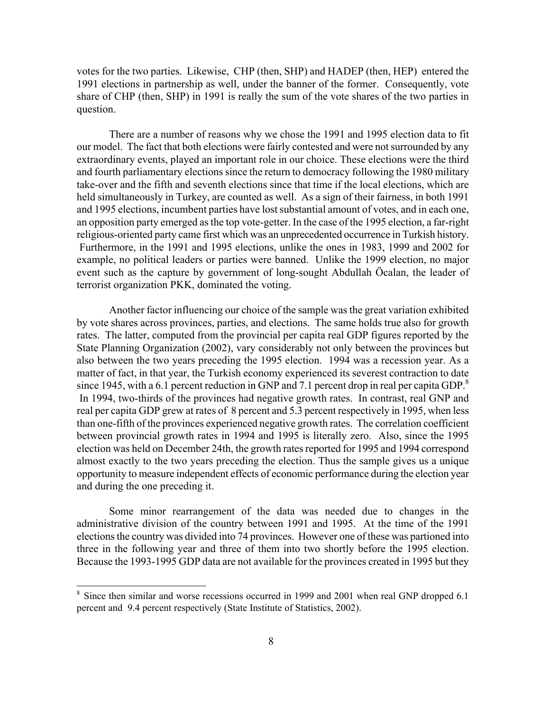votes for the two parties. Likewise, CHP (then, SHP) and HADEP (then, HEP) entered the 1991 elections in partnership as well, under the banner of the former. Consequently, vote share of CHP (then, SHP) in 1991 is really the sum of the vote shares of the two parties in question.

There are a number of reasons why we chose the 1991 and 1995 election data to fit our model. The fact that both elections were fairly contested and were not surrounded by any extraordinary events, played an important role in our choice. These elections were the third and fourth parliamentary elections since the return to democracy following the 1980 military take-over and the fifth and seventh elections since that time if the local elections, which are held simultaneously in Turkey, are counted as well. As a sign of their fairness, in both 1991 and 1995 elections, incumbent parties have lost substantial amount of votes, and in each one, an opposition party emerged as the top vote-getter. In the case of the 1995 election, a far-right religious-oriented party came first which was an unprecedented occurrence in Turkish history. Furthermore, in the 1991 and 1995 elections, unlike the ones in 1983, 1999 and 2002 for example, no political leaders or parties were banned. Unlike the 1999 election, no major event such as the capture by government of long-sought Abdullah Öcalan, the leader of terrorist organization PKK, dominated the voting.

Another factor influencing our choice of the sample was the great variation exhibited by vote shares across provinces, parties, and elections. The same holds true also for growth rates. The latter, computed from the provincial per capita real GDP figures reported by the State Planning Organization (2002), vary considerably not only between the provinces but also between the two years preceding the 1995 election. 1994 was a recession year. As a matter of fact, in that year, the Turkish economy experienced its severest contraction to date since 1945, with a 6.1 percent reduction in GNP and 7.1 percent drop in real per capita GDP.<sup>8</sup> In 1994, two-thirds of the provinces had negative growth rates. In contrast, real GNP and real per capita GDP grew at rates of 8 percent and 5.3 percent respectively in 1995, when less than one-fifth of the provinces experienced negative growth rates. The correlation coefficient between provincial growth rates in 1994 and 1995 is literally zero. Also, since the 1995 election was held on December 24th, the growth rates reported for 1995 and 1994 correspond almost exactly to the two years preceding the election. Thus the sample gives us a unique opportunity to measure independent effects of economic performance during the election year and during the one preceding it.

Some minor rearrangement of the data was needed due to changes in the administrative division of the country between 1991 and 1995. At the time of the 1991 elections the country was divided into 74 provinces. However one of these was partioned into three in the following year and three of them into two shortly before the 1995 election. Because the 1993-1995 GDP data are not available for the provinces created in 1995 but they

<sup>8</sup> 8 Since then similar and worse recessions occurred in 1999 and 2001 when real GNP dropped 6.1 percent and 9.4 percent respectively (State Institute of Statistics, 2002).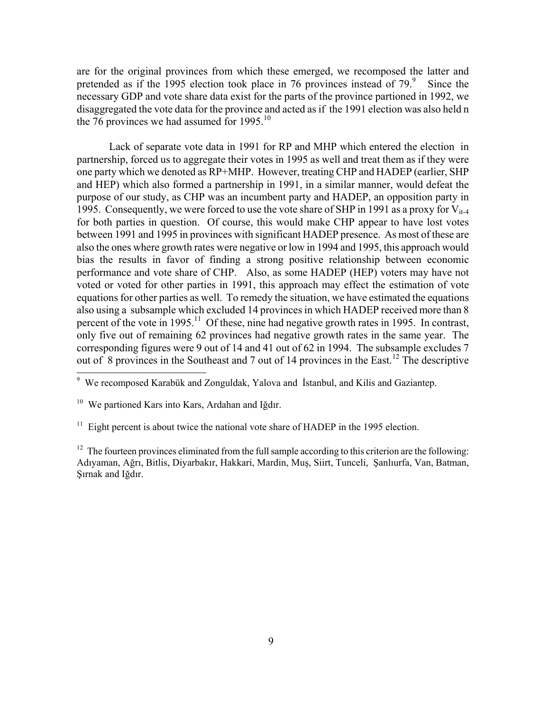are for the original provinces from which these emerged, we recomposed the latter and pretended as if the 1995 election took place in 76 provinces instead of  $79.9$  Since the necessary GDP and vote share data exist for the parts of the province partioned in 1992, we disaggregated the vote data for the province and acted as if the 1991 election was also held n the 76 provinces we had assumed for  $1995$ <sup>10</sup>

Lack of separate vote data in 1991 for RP and MHP which entered the election in partnership, forced us to aggregate their votes in 1995 as well and treat them as if they were one party which we denoted as RP+MHP. However, treating CHP and HADEP (earlier, SHP and HEP) which also formed a partnership in 1991, in a similar manner, would defeat the purpose of our study, as CHP was an incumbent party and HADEP, an opposition party in 1995. Consequently, we were forced to use the vote share of SHP in 1991 as a proxy for  $V_{i+4}$ for both parties in question. Of course, this would make CHP appear to have lost votes between 1991 and 1995 in provinces with significant HADEP presence. As most of these are also the ones where growth rates were negative or low in 1994 and 1995, this approach would bias the results in favor of finding a strong positive relationship between economic performance and vote share of CHP. Also, as some HADEP (HEP) voters may have not voted or voted for other parties in 1991, this approach may effect the estimation of vote equations for other parties as well. To remedy the situation, we have estimated the equations also using a subsample which excluded 14 provinces in which HADEP received more than 8 percent of the vote in  $1995$ <sup>11</sup> Of these, nine had negative growth rates in 1995. In contrast, only five out of remaining 62 provinces had negative growth rates in the same year. The corresponding figures were 9 out of 14 and 41 out of 62 in 1994. The subsample excludes 7 out of 8 provinces in the Southeast and 7 out of 14 provinces in the East.<sup>12</sup> The descriptive

 9 We recomposed Karabük and Zonguldak, Yalova and İstanbul, and Kilis and Gaziantep.

<sup>&</sup>lt;sup>10</sup> We partioned Kars into Kars, Ardahan and Iğdır.

 $11$  Eight percent is about twice the national vote share of HADEP in the 1995 election.

 $12$  The fourteen provinces eliminated from the full sample according to this criterion are the following: Adıyaman, Ağrı, Bitlis, Diyarbakır, Hakkari, Mardin, Muş, Siirt, Tunceli, Şanlıurfa, Van, Batman, Şırnak and Iğdır.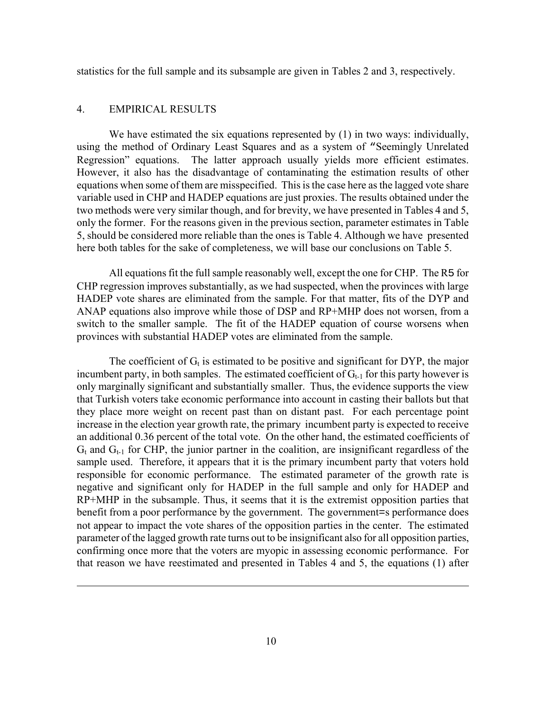statistics for the full sample and its subsample are given in Tables 2 and 3, respectively.

#### 4. EMPIRICAL RESULTS

 $\overline{a}$ 

We have estimated the six equations represented by (1) in two ways: individually, using the method of Ordinary Least Squares and as a system of "Seemingly Unrelated Regression" equations. The latter approach usually yields more efficient estimates. However, it also has the disadvantage of contaminating the estimation results of other equations when some of them are misspecified. This is the case here as the lagged vote share variable used in CHP and HADEP equations are just proxies. The results obtained under the two methods were very similar though, and for brevity, we have presented in Tables 4 and 5, only the former. For the reasons given in the previous section, parameter estimates in Table 5, should be considered more reliable than the ones is Table 4. Although we have presented here both tables for the sake of completeness, we will base our conclusions on Table 5.

All equations fit the full sample reasonably well, except the one for CHP. The R5 for CHP regression improves substantially, as we had suspected, when the provinces with large HADEP vote shares are eliminated from the sample. For that matter, fits of the DYP and ANAP equations also improve while those of DSP and RP+MHP does not worsen, from a switch to the smaller sample. The fit of the HADEP equation of course worsens when provinces with substantial HADEP votes are eliminated from the sample.

The coefficient of  $G_t$  is estimated to be positive and significant for DYP, the major incumbent party, in both samples. The estimated coefficient of  $G_{t-1}$  for this party however is only marginally significant and substantially smaller. Thus, the evidence supports the view that Turkish voters take economic performance into account in casting their ballots but that they place more weight on recent past than on distant past. For each percentage point increase in the election year growth rate, the primary incumbent party is expected to receive an additional 0.36 percent of the total vote. On the other hand, the estimated coefficients of  $G_t$  and  $G_{t-1}$  for CHP, the junior partner in the coalition, are insignificant regardless of the sample used. Therefore, it appears that it is the primary incumbent party that voters hold responsible for economic performance. The estimated parameter of the growth rate is negative and significant only for HADEP in the full sample and only for HADEP and RP+MHP in the subsample. Thus, it seems that it is the extremist opposition parties that benefit from a poor performance by the government. The government=s performance does not appear to impact the vote shares of the opposition parties in the center. The estimated parameter of the lagged growth rate turns out to be insignificant also for all opposition parties, confirming once more that the voters are myopic in assessing economic performance. For that reason we have reestimated and presented in Tables 4 and 5, the equations (1) after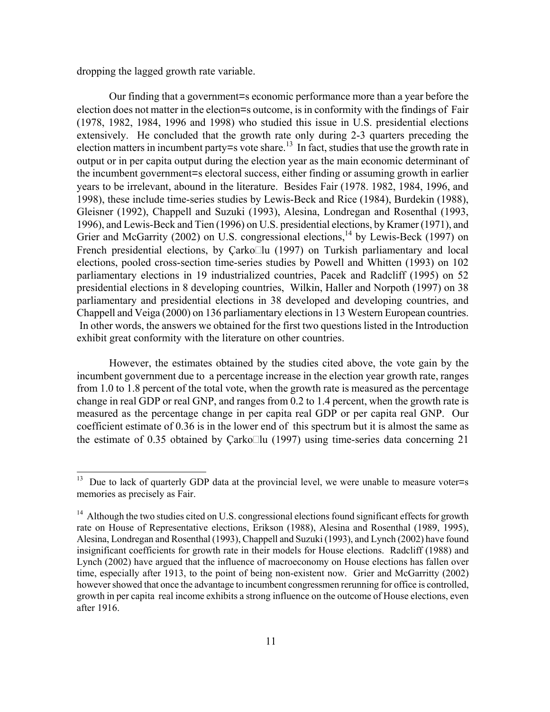dropping the lagged growth rate variable.

Our finding that a government=s economic performance more than a year before the election does not matter in the election=s outcome, is in conformity with the findings of Fair (1978, 1982, 1984, 1996 and 1998) who studied this issue in U.S. presidential elections extensively. He concluded that the growth rate only during 2-3 quarters preceding the election matters in incumbent party=s vote share.<sup>13</sup> In fact, studies that use the growth rate in output or in per capita output during the election year as the main economic determinant of the incumbent government=s electoral success, either finding or assuming growth in earlier years to be irrelevant, abound in the literature. Besides Fair (1978. 1982, 1984, 1996, and 1998), these include time-series studies by Lewis-Beck and Rice (1984), Burdekin (1988), Gleisner (1992), Chappell and Suzuki (1993), Alesina, Londregan and Rosenthal (1993, 1996), and Lewis-Beck and Tien (1996) on U.S. presidential elections, by Kramer (1971), and Grier and McGarrity (2002) on U.S. congressional elections,<sup>14</sup> by Lewis-Beck (1997) on French presidential elections, by Çarko $\square$ lu (1997) on Turkish parliamentary and local elections, pooled cross-section time-series studies by Powell and Whitten (1993) on 102 parliamentary elections in 19 industrialized countries, Pacek and Radcliff (1995) on 52 presidential elections in 8 developing countries, Wilkin, Haller and Norpoth (1997) on 38 parliamentary and presidential elections in 38 developed and developing countries, and Chappell and Veiga (2000) on 136 parliamentary elections in 13 Western European countries. In other words, the answers we obtained for the first two questions listed in the Introduction exhibit great conformity with the literature on other countries.

However, the estimates obtained by the studies cited above, the vote gain by the incumbent government due to a percentage increase in the election year growth rate, ranges from 1.0 to 1.8 percent of the total vote, when the growth rate is measured as the percentage change in real GDP or real GNP, and ranges from 0.2 to 1.4 percent, when the growth rate is measured as the percentage change in per capita real GDP or per capita real GNP. Our coefficient estimate of 0.36 is in the lower end of this spectrum but it is almost the same as the estimate of 0.35 obtained by Carko $\Box$ lu (1997) using time-series data concerning 21

<sup>13</sup> Due to lack of quarterly GDP data at the provincial level, we were unable to measure voter=s memories as precisely as Fair.

 $14$  Although the two studies cited on U.S. congressional elections found significant effects for growth rate on House of Representative elections, Erikson (1988), Alesina and Rosenthal (1989, 1995), Alesina, Londregan and Rosenthal (1993), Chappell and Suzuki (1993), and Lynch (2002) have found insignificant coefficients for growth rate in their models for House elections. Radcliff (1988) and Lynch (2002) have argued that the influence of macroeconomy on House elections has fallen over time, especially after 1913, to the point of being non-existent now. Grier and McGarritty (2002) however showed that once the advantage to incumbent congressmen rerunning for office is controlled, growth in per capita real income exhibits a strong influence on the outcome of House elections, even after 1916.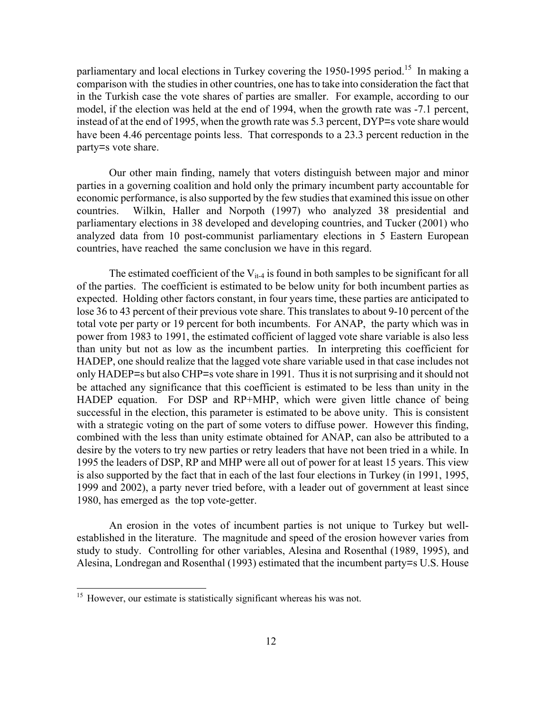parliamentary and local elections in Turkey covering the 1950-1995 period.<sup>15</sup> In making a comparison with the studies in other countries, one has to take into consideration the fact that in the Turkish case the vote shares of parties are smaller. For example, according to our model, if the election was held at the end of 1994, when the growth rate was -7.1 percent, instead of at the end of 1995, when the growth rate was 5.3 percent, DYP=s vote share would have been 4.46 percentage points less. That corresponds to a 23.3 percent reduction in the party=s vote share.

Our other main finding, namely that voters distinguish between major and minor parties in a governing coalition and hold only the primary incumbent party accountable for economic performance, is also supported by the few studies that examined this issue on other countries. Wilkin, Haller and Norpoth (1997) who analyzed 38 presidential and parliamentary elections in 38 developed and developing countries, and Tucker (2001) who analyzed data from 10 post-communist parliamentary elections in 5 Eastern European countries, have reached the same conclusion we have in this regard.

The estimated coefficient of the  $V_{it-4}$  is found in both samples to be significant for all of the parties. The coefficient is estimated to be below unity for both incumbent parties as expected. Holding other factors constant, in four years time, these parties are anticipated to lose 36 to 43 percent of their previous vote share. This translates to about 9-10 percent of the total vote per party or 19 percent for both incumbents. For ANAP, the party which was in power from 1983 to 1991, the estimated cofficient of lagged vote share variable is also less than unity but not as low as the incumbent parties. In interpreting this coefficient for HADEP, one should realize that the lagged vote share variable used in that case includes not only HADEP=s but also CHP=s vote share in 1991. Thus it is not surprising and it should not be attached any significance that this coefficient is estimated to be less than unity in the HADEP equation. For DSP and RP+MHP, which were given little chance of being successful in the election, this parameter is estimated to be above unity. This is consistent with a strategic voting on the part of some voters to diffuse power. However this finding, combined with the less than unity estimate obtained for ANAP, can also be attributed to a desire by the voters to try new parties or retry leaders that have not been tried in a while. In 1995 the leaders of DSP, RP and MHP were all out of power for at least 15 years. This view is also supported by the fact that in each of the last four elections in Turkey (in 1991, 1995, 1999 and 2002), a party never tried before, with a leader out of government at least since 1980, has emerged as the top vote-getter.

An erosion in the votes of incumbent parties is not unique to Turkey but wellestablished in the literature. The magnitude and speed of the erosion however varies from study to study. Controlling for other variables, Alesina and Rosenthal (1989, 1995), and Alesina, Londregan and Rosenthal (1993) estimated that the incumbent party=s U.S. House

 $\overline{\phantom{a}}$ 

<sup>&</sup>lt;sup>15</sup> However, our estimate is statistically significant whereas his was not.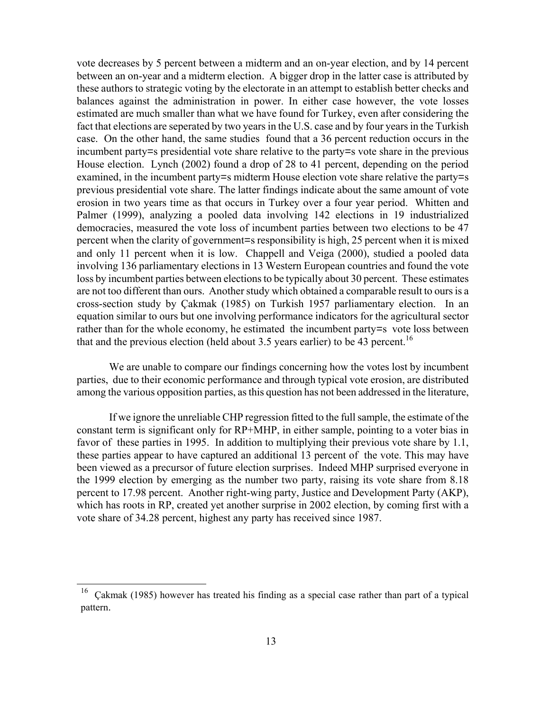vote decreases by 5 percent between a midterm and an on-year election, and by 14 percent between an on-year and a midterm election. A bigger drop in the latter case is attributed by these authors to strategic voting by the electorate in an attempt to establish better checks and balances against the administration in power. In either case however, the vote losses estimated are much smaller than what we have found for Turkey, even after considering the fact that elections are seperated by two years in the U.S. case and by four years in the Turkish case. On the other hand, the same studies found that a 36 percent reduction occurs in the incumbent party=s presidential vote share relative to the party=s vote share in the previous House election. Lynch (2002) found a drop of 28 to 41 percent, depending on the period examined, in the incumbent party=s midterm House election vote share relative the party=s previous presidential vote share. The latter findings indicate about the same amount of vote erosion in two years time as that occurs in Turkey over a four year period. Whitten and Palmer (1999), analyzing a pooled data involving 142 elections in 19 industrialized democracies, measured the vote loss of incumbent parties between two elections to be 47 percent when the clarity of government=s responsibility is high, 25 percent when it is mixed and only 11 percent when it is low. Chappell and Veiga (2000), studied a pooled data involving 136 parliamentary elections in 13 Western European countries and found the vote loss by incumbent parties between elections to be typically about 30 percent. These estimates are not too different than ours. Another study which obtained a comparable result to ours is a cross-section study by Çakmak (1985) on Turkish 1957 parliamentary election. In an equation similar to ours but one involving performance indicators for the agricultural sector rather than for the whole economy, he estimated the incumbent party=s vote loss between that and the previous election (held about 3.5 years earlier) to be 43 percent.<sup>16</sup>

We are unable to compare our findings concerning how the votes lost by incumbent parties, due to their economic performance and through typical vote erosion, are distributed among the various opposition parties, as this question has not been addressed in the literature,

If we ignore the unreliable CHP regression fitted to the full sample, the estimate of the constant term is significant only for RP+MHP, in either sample, pointing to a voter bias in favor of these parties in 1995. In addition to multiplying their previous vote share by 1.1, these parties appear to have captured an additional 13 percent of the vote. This may have been viewed as a precursor of future election surprises. Indeed MHP surprised everyone in the 1999 election by emerging as the number two party, raising its vote share from 8.18 percent to 17.98 percent. Another right-wing party, Justice and Development Party (AKP), which has roots in RP, created yet another surprise in 2002 election, by coming first with a vote share of 34.28 percent, highest any party has received since 1987.

 $\overline{\phantom{a}}$ 

<sup>16</sup> Çakmak (1985) however has treated his finding as a special case rather than part of a typical pattern.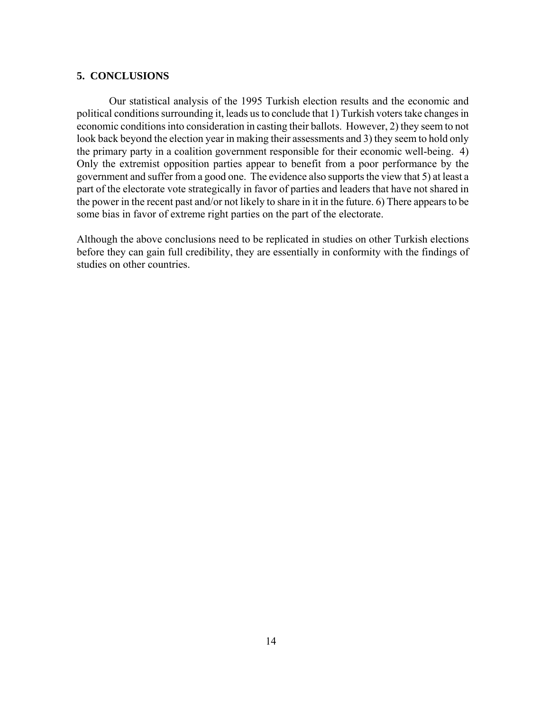#### **5. CONCLUSIONS**

Our statistical analysis of the 1995 Turkish election results and the economic and political conditions surrounding it, leads us to conclude that 1) Turkish voters take changes in economic conditions into consideration in casting their ballots. However, 2) they seem to not look back beyond the election year in making their assessments and 3) they seem to hold only the primary party in a coalition government responsible for their economic well-being. 4) Only the extremist opposition parties appear to benefit from a poor performance by the government and suffer from a good one. The evidence also supports the view that 5) at least a part of the electorate vote strategically in favor of parties and leaders that have not shared in the power in the recent past and/or not likely to share in it in the future. 6) There appears to be some bias in favor of extreme right parties on the part of the electorate.

Although the above conclusions need to be replicated in studies on other Turkish elections before they can gain full credibility, they are essentially in conformity with the findings of studies on other countries.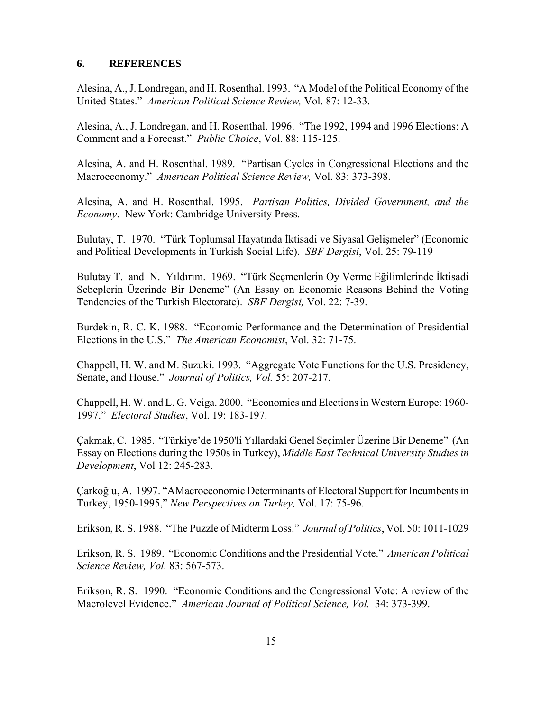#### **6. REFERENCES**

Alesina, A., J. Londregan, and H. Rosenthal. 1993. "A Model of the Political Economy of the United States." *American Political Science Review,* Vol. 87: 12-33.

Alesina, A., J. Londregan, and H. Rosenthal. 1996. "The 1992, 1994 and 1996 Elections: A Comment and a Forecast." *Public Choice*, Vol. 88: 115-125.

Alesina, A. and H. Rosenthal. 1989. "Partisan Cycles in Congressional Elections and the Macroeconomy." *American Political Science Review,* Vol. 83: 373-398.

Alesina, A. and H. Rosenthal. 1995. *Partisan Politics, Divided Government, and the Economy*. New York: Cambridge University Press.

Bulutay, T. 1970. "Türk Toplumsal Hayatında İktisadi ve Siyasal Gelişmeler" (Economic and Political Developments in Turkish Social Life). *SBF Dergisi*, Vol. 25: 79-119

Bulutay T. and N. Yıldırım. 1969. "Türk Seçmenlerin Oy Verme Eğilimlerinde İktisadi Sebeplerin Üzerinde Bir Deneme" (An Essay on Economic Reasons Behind the Voting Tendencies of the Turkish Electorate). *SBF Dergisi,* Vol. 22: 7-39.

Burdekin, R. C. K. 1988. "Economic Performance and the Determination of Presidential Elections in the U.S." *The American Economist*, Vol. 32: 71-75.

Chappell, H. W. and M. Suzuki. 1993. "Aggregate Vote Functions for the U.S. Presidency, Senate, and House." *Journal of Politics, Vol.* 55: 207-217.

Chappell, H. W. and L. G. Veiga. 2000. "Economics and Elections in Western Europe: 1960- 1997." *Electoral Studies*, Vol. 19: 183-197.

Çakmak, C. 1985. "Türkiye'de 1950'li Yıllardaki Genel Seçimler Üzerine Bir Deneme" (An Essay on Elections during the 1950s in Turkey), *Middle East Technical University Studies in Development*, Vol 12: 245-283.

Çarkoğlu, A. 1997. "AMacroeconomic Determinants of Electoral Support for Incumbents in Turkey, 1950-1995," *New Perspectives on Turkey,* Vol. 17: 75-96.

Erikson, R. S. 1988. "The Puzzle of Midterm Loss." *Journal of Politics*, Vol. 50: 1011-1029

Erikson, R. S. 1989. "Economic Conditions and the Presidential Vote." *American Political Science Review, Vol.* 83: 567-573.

Erikson, R. S. 1990. "Economic Conditions and the Congressional Vote: A review of the Macrolevel Evidence." *American Journal of Political Science, Vol.* 34: 373-399.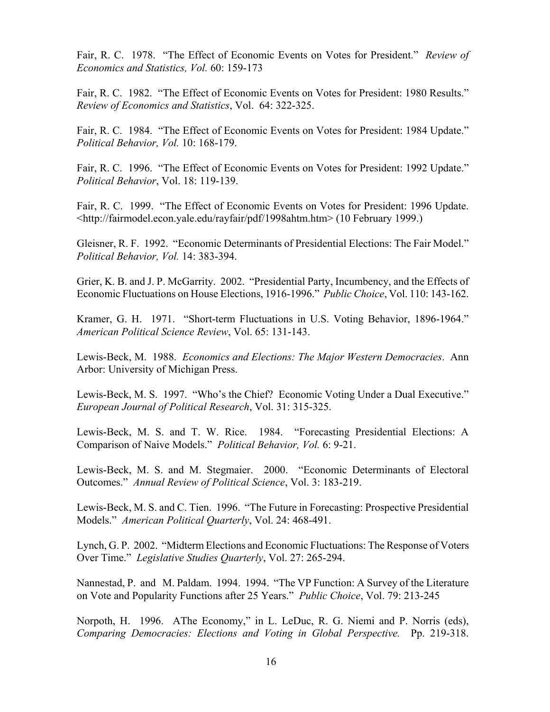Fair, R. C. 1978. "The Effect of Economic Events on Votes for President." *Review of Economics and Statistics, Vol.* 60: 159-173

Fair, R. C. 1982. "The Effect of Economic Events on Votes for President: 1980 Results." *Review of Economics and Statistics*, Vol. 64: 322-325.

Fair, R. C. 1984. "The Effect of Economic Events on Votes for President: 1984 Update." *Political Behavior, Vol.* 10: 168-179.

Fair, R. C. 1996. "The Effect of Economic Events on Votes for President: 1992 Update." *Political Behavior*, Vol. 18: 119-139.

Fair, R. C. 1999. "The Effect of Economic Events on Votes for President: 1996 Update. <http://fairmodel.econ.yale.edu/rayfair/pdf/1998ahtm.htm> (10 February 1999.)

Gleisner, R. F. 1992. "Economic Determinants of Presidential Elections: The Fair Model." *Political Behavior, Vol.* 14: 383-394.

Grier, K. B. and J. P. McGarrity. 2002. "Presidential Party, Incumbency, and the Effects of Economic Fluctuations on House Elections, 1916-1996." *Public Choice*, Vol. 110: 143-162.

Kramer, G. H. 1971. "Short-term Fluctuations in U.S. Voting Behavior, 1896-1964." *American Political Science Review*, Vol. 65: 131-143.

Lewis-Beck, M. 1988. *Economics and Elections: The Major Western Democracies*. Ann Arbor: University of Michigan Press.

Lewis-Beck, M. S. 1997. "Who's the Chief? Economic Voting Under a Dual Executive." *European Journal of Political Research*, Vol. 31: 315-325.

Lewis-Beck, M. S. and T. W. Rice. 1984. "Forecasting Presidential Elections: A Comparison of Naive Models." *Political Behavior, Vol.* 6: 9-21.

Lewis-Beck, M. S. and M. Stegmaier. 2000. "Economic Determinants of Electoral Outcomes." *Annual Review of Political Science*, Vol. 3: 183-219.

Lewis-Beck, M. S. and C. Tien. 1996. "The Future in Forecasting: Prospective Presidential Models." *American Political Quarterly*, Vol. 24: 468-491.

Lynch, G. P. 2002. "Midterm Elections and Economic Fluctuations: The Response of Voters Over Time." *Legislative Studies Quarterly*, Vol. 27: 265-294.

Nannestad, P. and M. Paldam. 1994. 1994. "The VP Function: A Survey of the Literature on Vote and Popularity Functions after 25 Years." *Public Choice*, Vol. 79: 213-245

Norpoth, H. 1996. AThe Economy," in L. LeDuc, R. G. Niemi and P. Norris (eds), *Comparing Democracies: Elections and Voting in Global Perspective.* Pp. 219-318.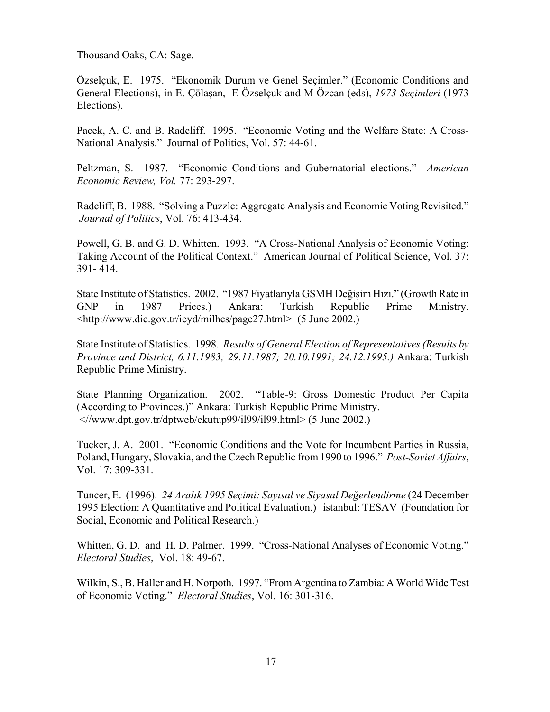Thousand Oaks, CA: Sage.

Özselçuk, E. 1975. "Ekonomik Durum ve Genel Seçimler." (Economic Conditions and General Elections), in E. Çölaşan, E Özselçuk and M Özcan (eds), *1973 Seçimleri* (1973 Elections).

Pacek, A. C. and B. Radcliff. 1995. "Economic Voting and the Welfare State: A Cross-National Analysis." Journal of Politics, Vol. 57: 44-61.

Peltzman, S. 1987. "Economic Conditions and Gubernatorial elections." *American Economic Review, Vol.* 77: 293-297.

Radcliff, B. 1988. "Solving a Puzzle: Aggregate Analysis and Economic Voting Revisited." *Journal of Politics*, Vol. 76: 413-434.

Powell, G. B. and G. D. Whitten. 1993. "A Cross-National Analysis of Economic Voting: Taking Account of the Political Context." American Journal of Political Science, Vol. 37: 391- 414.

State Institute of Statistics. 2002. "1987 Fiyatlarıyla GSMH Değişim Hızı." (Growth Rate in GNP in 1987 Prices.) Ankara: Turkish Republic Prime Ministry. <http://www.die.gov.tr/ieyd/milhes/page27.html> (5 June 2002.)

State Institute of Statistics. 1998. *Results of General Election of Representatives (Results by Province and District, 6.11.1983; 29.11.1987; 20.10.1991; 24.12.1995.)* Ankara: Turkish Republic Prime Ministry.

State Planning Organization. 2002. "Table-9: Gross Domestic Product Per Capita (According to Provinces.)" Ankara: Turkish Republic Prime Ministry. <//www.dpt.gov.tr/dptweb/ekutup99/il99/il99.html> (5 June 2002.)

Tucker, J. A. 2001. "Economic Conditions and the Vote for Incumbent Parties in Russia, Poland, Hungary, Slovakia, and the Czech Republic from 1990 to 1996." *Post-Soviet Affairs*, Vol. 17: 309-331.

Tuncer, E. (1996). *24 Aralık 1995 Seçimi: Sayısal ve Siyasal Değerlendirme* (24 December 1995 Election: A Quantitative and Political Evaluation.) istanbul: TESAV (Foundation for Social, Economic and Political Research.)

Whitten, G. D. and H. D. Palmer. 1999. "Cross-National Analyses of Economic Voting." *Electoral Studies*, Vol. 18: 49-67.

Wilkin, S., B. Haller and H. Norpoth. 1997. "From Argentina to Zambia: A World Wide Test of Economic Voting." *Electoral Studies*, Vol. 16: 301-316.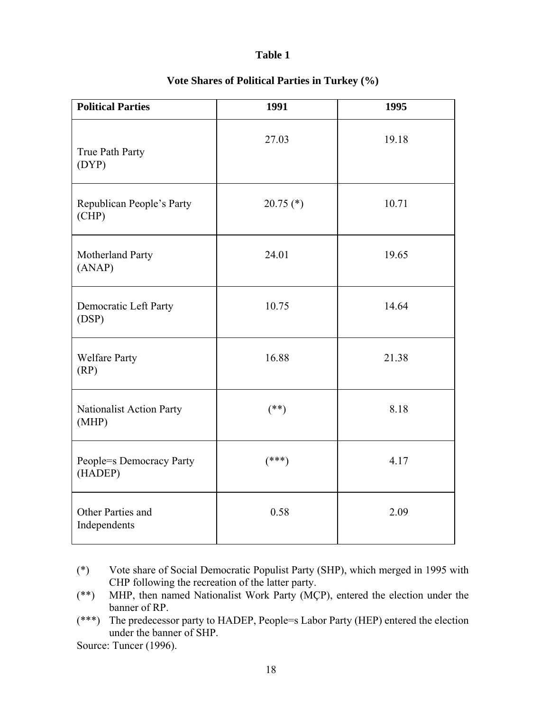| <b>Political Parties</b>            | 1991        | 1995  |  |  |
|-------------------------------------|-------------|-------|--|--|
| True Path Party<br>(DYP)            | 27.03       | 19.18 |  |  |
| Republican People's Party<br>(CHP)  | $20.75$ (*) | 10.71 |  |  |
| Motherland Party<br>(ANAP)          | 24.01       | 19.65 |  |  |
| Democratic Left Party<br>(DSP)      | 10.75       | 14.64 |  |  |
| <b>Welfare Party</b><br>(RP)        | 16.88       | 21.38 |  |  |
| Nationalist Action Party<br>(MHP)   | $(**)$      | 8.18  |  |  |
| People=s Democracy Party<br>(HADEP) | $(***)$     | 4.17  |  |  |
| Other Parties and<br>Independents   | 0.58        | 2.09  |  |  |

## **Vote Shares of Political Parties in Turkey (%)**

- (\*) Vote share of Social Democratic Populist Party (SHP), which merged in 1995 with CHP following the recreation of the latter party.
- (\*\*) MHP, then named Nationalist Work Party (MÇP), entered the election under the banner of RP.
- (\*\*\*) The predecessor party to HADEP, People=s Labor Party (HEP) entered the election under the banner of SHP.

Source: Tuncer (1996).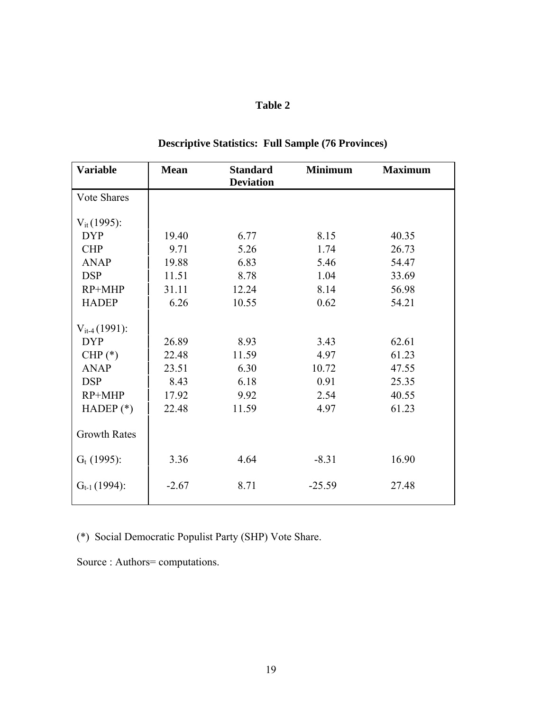| <b>Variable</b>     | <b>Mean</b> | <b>Standard</b><br><b>Deviation</b> | <b>Minimum</b> | <b>Maximum</b> |
|---------------------|-------------|-------------------------------------|----------------|----------------|
| <b>Vote Shares</b>  |             |                                     |                |                |
| $V_{it}(1995)$ :    |             |                                     |                |                |
| <b>DYP</b>          | 19.40       | 6.77                                | 8.15           | 40.35          |
| <b>CHP</b>          | 9.71        | 5.26                                | 1.74           | 26.73          |
| <b>ANAP</b>         | 19.88       | 6.83                                | 5.46           | 54.47          |
| <b>DSP</b>          | 11.51       | 8.78                                | 1.04           | 33.69          |
| $RP+MHP$            | 31.11       | 12.24                               | 8.14           | 56.98          |
| <b>HADEP</b>        | 6.26        | 10.55                               | 0.62           | 54.21          |
| $V_{it-4}(1991)$ :  |             |                                     |                |                |
| <b>DYP</b>          | 26.89       | 8.93                                | 3.43           | 62.61          |
| CHP $(*)$           | 22.48       | 11.59                               | 4.97           | 61.23          |
| <b>ANAP</b>         | 23.51       | 6.30                                | 10.72          | 47.55          |
| <b>DSP</b>          | 8.43        | 6.18                                | 0.91           | 25.35          |
| $RP+MHP$            | 17.92       | 9.92                                | 2.54           | 40.55          |
| HADEP $(*)$         | 22.48       | 11.59                               | 4.97           | 61.23          |
| <b>Growth Rates</b> |             |                                     |                |                |
| $G_t$ (1995):       | 3.36        | 4.64                                | $-8.31$        | 16.90          |
| $G_{t-1}(1994)$ :   | $-2.67$     | 8.71                                | $-25.59$       | 27.48          |

# **Descriptive Statistics: Full Sample (76 Provinces)**

(\*) Social Democratic Populist Party (SHP) Vote Share.

Source : Authors= computations.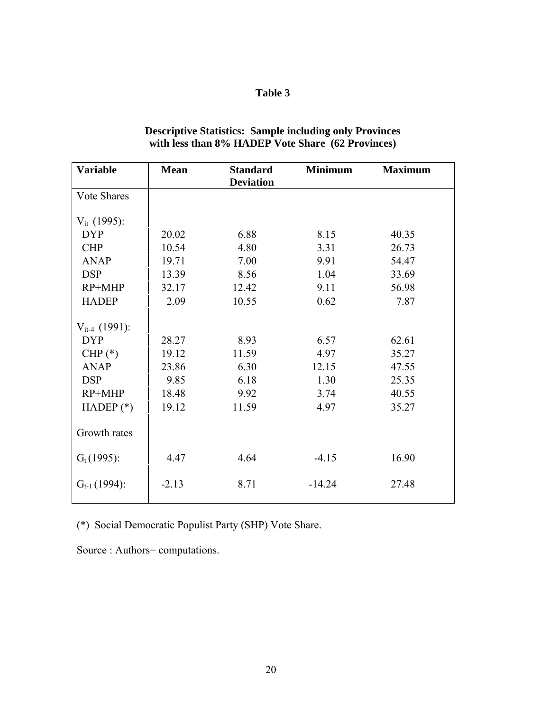| <b>Variable</b>    | <b>Mean</b> | <b>Standard</b><br><b>Deviation</b> | <b>Minimum</b> | <b>Maximum</b> |
|--------------------|-------------|-------------------------------------|----------------|----------------|
| <b>Vote Shares</b> |             |                                     |                |                |
| $V_{it}$ (1995):   |             |                                     |                |                |
| <b>DYP</b>         | 20.02       | 6.88                                | 8.15           | 40.35          |
| <b>CHP</b>         | 10.54       | 4.80                                | 3.31           | 26.73          |
| <b>ANAP</b>        | 19.71       | 7.00                                | 9.91           | 54.47          |
| <b>DSP</b>         | 13.39       | 8.56                                | 1.04           | 33.69          |
| $RP+MHP$           | 32.17       | 12.42                               | 9.11           | 56.98          |
| <b>HADEP</b>       | 2.09        | 10.55                               | 0.62           | 7.87           |
| $V_{it-4}$ (1991): |             |                                     |                |                |
| <b>DYP</b>         | 28.27       | 8.93                                | 6.57           | 62.61          |
| CHP $(*)$          | 19.12       | 11.59                               | 4.97           | 35.27          |
| <b>ANAP</b>        | 23.86       | 6.30                                | 12.15          | 47.55          |
| <b>DSP</b>         | 9.85        | 6.18                                | 1.30           | 25.35          |
| $RP+MHP$           | 18.48       | 9.92                                | 3.74           | 40.55          |
| HADEP $(*)$        | 19.12       | 11.59                               | 4.97           | 35.27          |
| Growth rates       |             |                                     |                |                |
| $G_t(1995)$ :      | 4.47        | 4.64                                | $-4.15$        | 16.90          |
| $G_{t-1}(1994)$ :  | $-2.13$     | 8.71                                | $-14.24$       | 27.48          |

### **Descriptive Statistics: Sample including only Provinces with less than 8% HADEP Vote Share (62 Provinces)**

(\*) Social Democratic Populist Party (SHP) Vote Share.

Source : Authors= computations.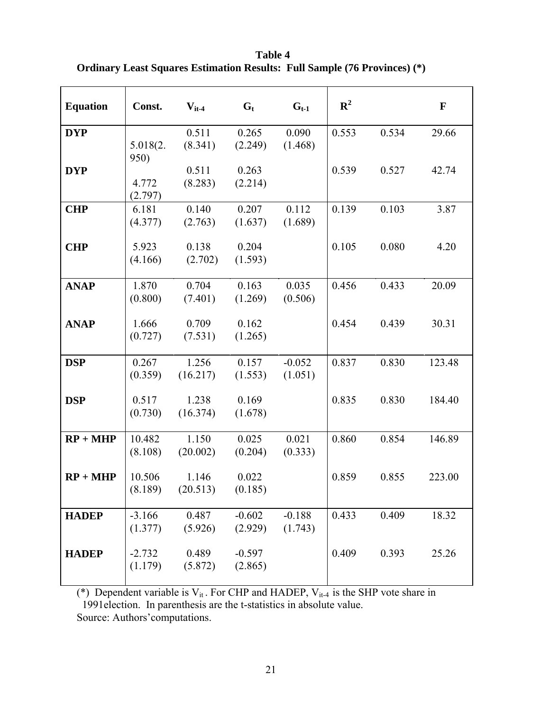**Table 4 Ordinary Least Squares Estimation Results: Full Sample (76 Provinces) (\*)** 

| <b>Equation</b> | Const.              | $V_{it-4}$        | $G_t$               | $G_{t-1}$           | ${\bf R}^2$ |       | $\mathbf{F}$ |
|-----------------|---------------------|-------------------|---------------------|---------------------|-------------|-------|--------------|
| <b>DYP</b>      | 5.018(2.<br>950)    | 0.511<br>(8.341)  | 0.265<br>(2.249)    | 0.090<br>(1.468)    | 0.553       | 0.534 | 29.66        |
| <b>DYP</b>      | 4.772<br>(2.797)    | 0.511<br>(8.283)  | 0.263<br>(2.214)    |                     | 0.539       | 0.527 | 42.74        |
| <b>CHP</b>      | 6.181<br>(4.377)    | 0.140<br>(2.763)  | 0.207<br>(1.637)    | 0.112<br>(1.689)    | 0.139       | 0.103 | 3.87         |
| <b>CHP</b>      | 5.923<br>(4.166)    | 0.138<br>(2.702)  | 0.204<br>(1.593)    |                     | 0.105       | 0.080 | 4.20         |
| <b>ANAP</b>     | 1.870<br>(0.800)    | 0.704<br>(7.401)  | 0.163<br>(1.269)    | 0.035<br>(0.506)    | 0.456       | 0.433 | 20.09        |
| <b>ANAP</b>     | 1.666<br>(0.727)    | 0.709<br>(7.531)  | 0.162<br>(1.265)    |                     | 0.454       | 0.439 | 30.31        |
| <b>DSP</b>      | 0.267<br>(0.359)    | 1.256<br>(16.217) | 0.157<br>(1.553)    | $-0.052$<br>(1.051) | 0.837       | 0.830 | 123.48       |
| <b>DSP</b>      | 0.517<br>(0.730)    | 1.238<br>(16.374) | 0.169<br>(1.678)    |                     | 0.835       | 0.830 | 184.40       |
| $RP + MHP$      | 10.482<br>(8.108)   | 1.150<br>(20.002) | 0.025<br>(0.204)    | 0.021<br>(0.333)    | 0.860       | 0.854 | 146.89       |
| $RP + MHP$      | 10.506<br>(8.189)   | 1.146<br>(20.513) | 0.022<br>(0.185)    |                     | 0.859       | 0.855 | 223.00       |
| <b>HADEP</b>    | $-3.166$<br>(1.377) | 0.487<br>(5.926)  | $-0.602$<br>(2.929) | $-0.188$<br>(1.743) | 0.433       | 0.409 | 18.32        |
| <b>HADEP</b>    | $-2.732$<br>(1.179) | 0.489<br>(5.872)  | $-0.597$<br>(2.865) |                     | 0.409       | 0.393 | 25.26        |

(\*) Dependent variable is  $V_{it}$ . For CHP and HADEP,  $V_{it-4}$  is the SHP vote share in 1991election. In parenthesis are the t-statistics in absolute value.

Source: Authors'computations.